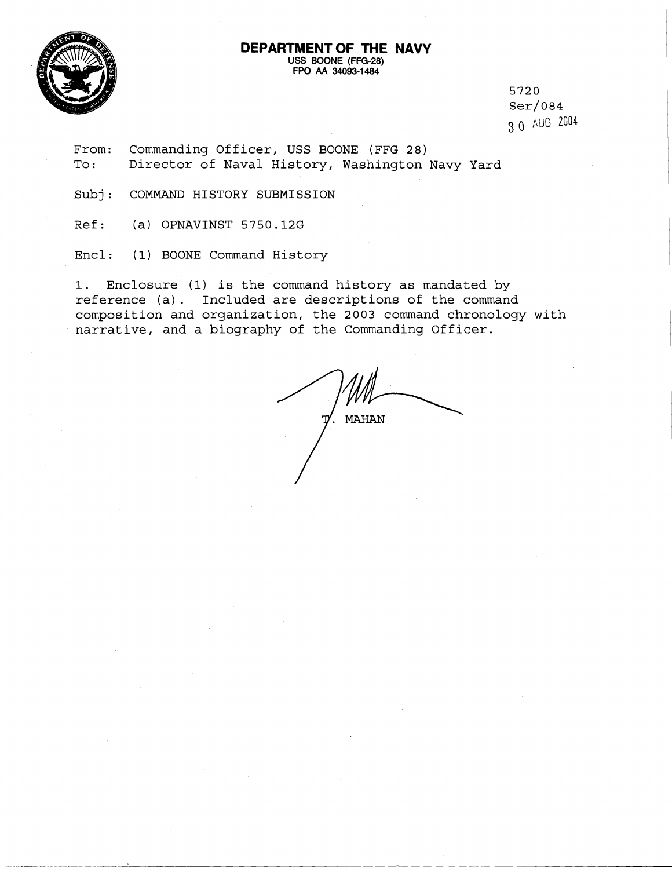## **DEPARTMENT OF THE NAVY USS BOONE (FFG-28) FPO AA 34093-1484**



5720  $Ser/084$ 3 0 AUG 2004

From: Commanding Officer, USS BOONE (FFG 28) To: Director of Naval History, Washington Navy Yard

Subj: COMMAND HISTORY SUBMISSION

Ref: (a) OPNAVINST 5750.12G

Encl : (1) BOONE Command History

1. Enclosure **(1)** is the command history as mandated by reference (a). Included are descriptions of the command composition and organization, the 2003 command chronology with narrative, and a biography of the Commanding Officer.

**MAHAN**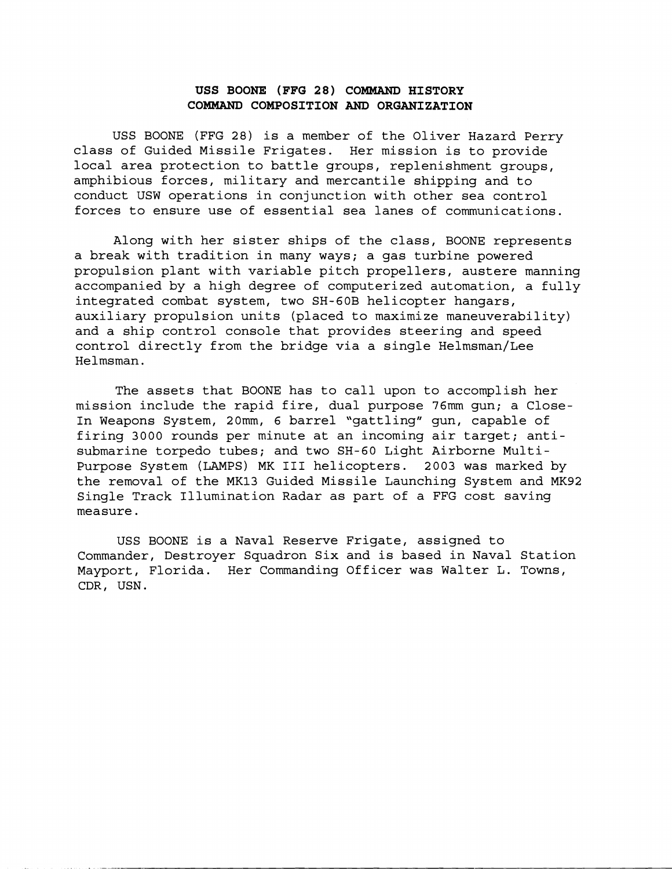## **USS BOONE (FFG 28) COMMAND HISTORY COMMAND COMPOSITION AND ORGANIZATION**

USS BOONE (FFG 28) is a member of the Oliver Hazard Perry class of Guided Missile Frigates. Her mission is to provide local area protection to battle groups, replenishment groups, amphibious forces, military and mercantile shipping and to conduct USW operations in conjunction with other sea control forces to ensure use of essential sea lanes of communications.

Along with her sister ships of the class, BOONE represents a break with tradition in many ways; a gas turbine powered propulsion plant with variable pitch propellers, austere manning accompanied by a high degree of computerized automation, a fully integrated combat system, two SH-GOB helicopter hangars, auxiliary propulsion units (placed to maximize maneuverability) and a ship control console that provides steering and speed control directly from the bridge via a single Helmsman/Lee Helmsman.

The assets that BOONE has to call upon to accomplish her mission include the rapid fire, dual purpose 76mm gun; a Close-In Weapons System, 20mm, 6 barrel "gattling" gun, capable of firing 3000 rounds per minute at an incoming air target; antisubmarine torpedo tubes; and two SH-60 Light Airborne Multi-Purpose System (LAMPS) MK I11 helicopters. 2003 was marked by the removal of the MK13 Guided Missile Launching System and MK92 Single Track Illumination Radar as part of a FFG cost saving measure.

USS BOONE is a Naval Reserve Frigate, assigned to Commander, Destroyer Squadron Six and is based in Naval Station Mayport, Florida. Her Commanding Officer was Walter L. Towns, CDR, USN.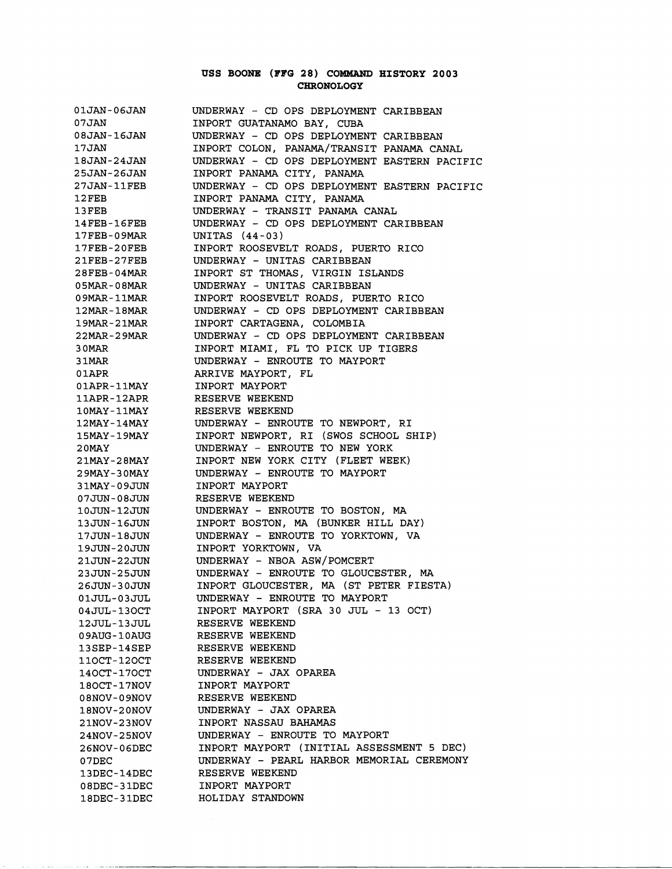## **USS BOONE (FFG 28) COBMAND HISTORY 2003 CHRONOLOGY**

| 01JAN-06JAN        | UNDERWAY - CD OPS DEPLOYMENT CARIBBEAN       |
|--------------------|----------------------------------------------|
| 07JAN              | INPORT GUATANAMO BAY, CUBA                   |
| 08JAN-16JAN        | UNDERWAY - CD OPS DEPLOYMENT CARIBBEAN       |
| 17JAN              | INPORT COLON, PANAMA/TRANSIT PANAMA CANAL    |
| 18JAN-24JAN        | UNDERWAY - CD OPS DEPLOYMENT EASTERN PACIFIC |
| 25JAN-26JAN        | INPORT PANAMA CITY, PANAMA                   |
| <b>27JAN-11FEB</b> | UNDERWAY - CD OPS DEPLOYMENT EASTERN PACIFIC |
| $12$ FEB           | INPORT PANAMA CITY, PANAMA                   |
| 13FEB              | UNDERWAY - TRANSIT PANAMA CANAL              |
| $14$ FEB-16FEB     | UNDERWAY - CD OPS DEPLOYMENT CARIBBEAN       |
| <b>17FEB-09MAR</b> | UNITAS (44-03)                               |
| 17FEB-20FEB        | INPORT ROOSEVELT ROADS, PUERTO RICO          |
| $21$ FEB-27FEB     | UNDERWAY - UNITAS CARIBBEAN                  |
| <b>28FEB-04MAR</b> | INPORT ST THOMAS, VIRGIN ISLANDS             |
| <b>05MAR-08MAR</b> | UNDERWAY - UNITAS CARIBBEAN                  |
| 09MAR-11MAR        | INPORT ROOSEVELT ROADS, PUERTO RICO          |
| <b>12MAR-18MAR</b> | UNDERWAY - CD OPS DEPLOYMENT CARIBBEAN       |
| <b>19MAR-21MAR</b> | INPORT CARTAGENA, COLOMBIA                   |
| <b>22MAR-29MAR</b> | UNDERWAY - CD OPS DEPLOYMENT CARIBBEAN       |
| 3 OMAR             | INPORT MIAMI, FL TO PICK UP TIGERS           |
| 31MAR              | UNDERWAY - ENROUTE TO MAYPORT                |
| 01APR              | ARRIVE MAYPORT, FL                           |
| 01APR-11MAY        | INPORT MAYPORT                               |
| 11APR-12APR        | RESERVE WEEKEND                              |
| 10MAY-11MAY        | RESERVE WEEKEND                              |
| 12MAY-14MAY        | UNDERWAY - ENROUTE TO NEWPORT, RI            |
| 15MAY-19MAY        | INPORT NEWPORT, RI (SWOS SCHOOL SHIP)        |
| 20MAY              | UNDERWAY - ENROUTE TO NEW YORK               |
| 21MAY-28MAY        | INPORT NEW YORK CITY (FLEET WEEK)            |
| 29MAY-30MAY        | UNDERWAY - ENROUTE TO MAYPORT                |
| 31MAY-09JUN        | INPORT MAYPORT                               |
| 07JUN-08JUN        | RESERVE WEEKEND                              |
| 10JUN-12JUN        | UNDERWAY - ENROUTE TO BOSTON, MA             |
| 13JUN-16JUN        | INPORT BOSTON, MA (BUNKER HILL DAY)          |
| 17JUN-18JUN        | UNDERWAY - ENROUTE TO YORKTOWN, VA           |
| 19JUN-20JUN        | INPORT YORKTOWN, VA                          |
| 21JUN-22JUN        | UNDERWAY - NBOA ASW/POMCERT                  |
| 23JUN-25JUN        | UNDERWAY - ENROUTE TO GLOUCESTER, MA         |
| 26JUN-30JUN        | INPORT GLOUCESTER, MA (ST PETER FIESTA)      |
| 01JUL-03JUL        | UNDERWAY - ENROUTE TO MAYPORT                |
| 04JUL-130CT        | INPORT MAYPORT (SRA 30 JUL - 13 OCT)         |
| 12JUL-13JUL        | RESERVE WEEKEND                              |
| 09AUG-10AUG        | RESERVE WEEKEND                              |
| 13SEP-14SEP        | RESERVE WEEKEND                              |
| 110CT-120CT        | RESERVE WEEKEND                              |
| 140CT-170CT        | UNDERWAY - JAX OPAREA                        |
| 180CT-17NOV        | INPORT MAYPORT                               |
| <b>VONe0-70N80</b> | RESERVE WEEKEND                              |
| 18NOV-20NOV        | UNDERWAY - JAX OPAREA                        |
| <b>21NOV-23NOV</b> | INPORT NASSAU BAHAMAS                        |
| <b>24NOV-25NOV</b> | UNDERWAY - ENROUTE TO MAYPORT                |
| 26NOV-06DEC        | INPORT MAYPORT (INITIAL ASSESSMENT 5 DEC)    |
| 07DEC              | UNDERWAY - PEARL HARBOR MEMORIAL CEREMONY    |
| 13DEC-14DEC        | RESERVE WEEKEND                              |
| 08DEC-31DEC        | INPORT MAYPORT                               |
| 18DEC-31DEC        | HOLIDAY STANDOWN                             |

and the communication are all communi-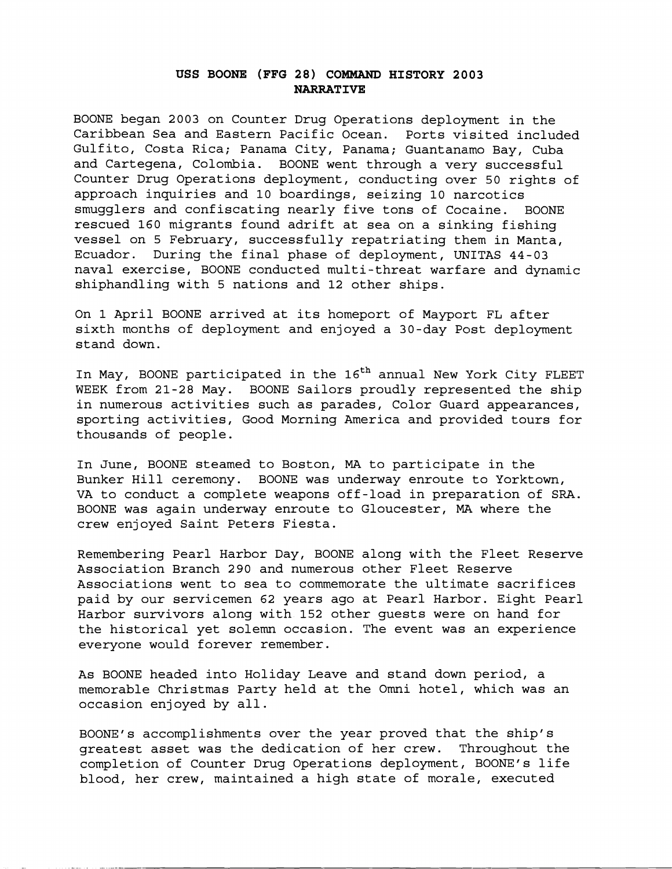## **USS BOONE (FFG 28) COMMAND HISTORY 2003 NARRATIVE**

BOONE began 2003 on Counter Drug Operations deployment in the Caribbean Sea and Eastern Pacific Ocean. Ports visited included Gulfito, Costa Rica; Panama City, Panama; Guantanamo Bay, Cuba and Cartegena, Colombia. BOONE went through a very successful Counter Drug Operations deployment, conducting over 50 rights of approach inquiries and 10 boardings, seizing 10 narcotics smugglers and confiscating nearly five tons of Cocaine. BOONE rescued 160 migrants found adrift at sea on a sinking fishing vessel on 5 February, successfully repatriating them in Manta, Ecuador. During the final phase of deployment, UNITAS 44-03 naval exercise, BOONE conducted multi-threat warfare and dynamic shiphandling with 5 nations and 12 other ships.

On 1 April BOONE arrived at its homeport of Mayport FL after sixth months of deployment and enjoyed a 30-day Post deployment stand down.

In May, BOONE participated in the 16<sup>th</sup> annual New York City FLEET WEEK from 21-28 May. BOONE Sailors proudly represented the ship in numerous activities such as parades, Color Guard appearances, sporting activities, Good Morning America and provided tours for thousands of people.

In June, BOONE steamed to Boston, MA to participate in the Bunker Hill ceremony. BOONE was underway enroute to Yorktown, VA to conduct a complete weapons off-load in preparation of SRA. BOONE was again underway enroute to Gloucester, MA where the crew enjoyed Saint Peters Fiesta.

Remembering Pearl Harbor Day, BOONE along with the Fleet Reserve Association Branch 290 and numerous other Fleet Reserve Associations went to sea to commemorate the ultimate sacrifices paid by our servicemen 62 years ago at Pearl Harbor. Eight Pearl Harbor survivors along with 152 other guests were on hand for the historical yet solemn occasion. The event was an experience everyone would forever remember.

As BOONE headed into Holiday Leave and stand down period, a memorable Christmas Party held at the Omni hotel, which was an occasion enjoyed by all.

BOONE's accomplishments over the year proved that the ship's greatest asset was the dedication of her crew. Throughout the completion of Counter Drug Operations deployment, BOONE's life blood, her crew, maintained a high state of morale, executed